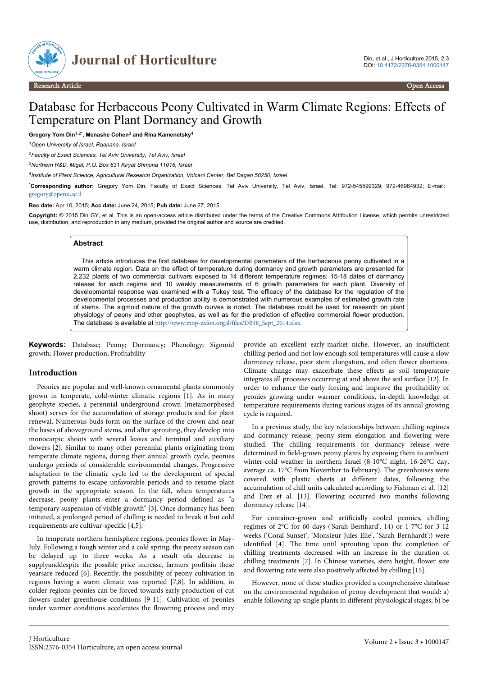

# Database for Herbaceous Peony Cultivated in Warm Climate Regions: Effects of Temperature on Plant Dormancy and Growth

**Gregory Yom Din**1,2\***, Menashe Cohen**<sup>3</sup>  **and Rina Kamenetsky**<sup>4</sup>

*<sup>1</sup>Open University of Israel, Raanana, Israel*

*<sup>2</sup>Faculty of Exact Sciences, Tel Aviv University, Tel Aviv, Israel*

*<sup>3</sup>Northern R&D, Migal, P.O. Box 831 Kiryat Shmona 11016, Israel*

*4 Institute of Plant Science, Agricultural Research Organization, Volcani Center, Bet Dagan 50250, Israel*

\***Corresponding author:** Gregory Yom Din, Faculty of Exact Sciences, Tel Aviv University, Tel Aviv, Israel, Tel: 972-545599329, 972-46964932; E-mail: [gregory@openu.ac.il](mailto:gregory@openu.ac.il)

**Rec date:** Apr 10, 2015; **Acc date:** June 24, 2015; **Pub date:** June 27, 2015

**Copyright:** © 2015 Din GY, et al. This is an open-access article distributed under the terms of the Creative Commons Attribution License, which permits unrestricted use, distribution, and reproduction in any medium, provided the original author and source are credited.

#### **Abstract**

This article introduces the first database for developmental parameters of the herbaceous peony cultivated in a warm climate region. Data on the effect of temperature during dormancy and growth parameters are presented for 2,232 plants of two commercial cultivars exposed to 14 different temperature regimes: 15-18 dates of dormancy release for each regime and 10 weekly measurements of 6 growth parameters for each plant. Diversity of developmental response was examined with a Tukey test. The efficacy of the database for the regulation of the developmental processes and production ability is demonstrated with numerous examples of estimated growth rate of stems. The sigmoid nature of the growth curves is noted. The database could be used for research on plant physiology of peony and other geophytes, as well as for the prediction of effective commercial flower production. The database is available at [http://www.mop-zafon.org.il/files/DB18\\_Sept\\_2014.xlsx](http://www.mop-zafon.org.il/files/DB18_Sept_2014.xlsx).

**Keywords:** Database; Peony; Dormancy; Phenology; Sigmoid growth; Flower production; Profitability

#### **Introduction**

Peonies are popular and well-known ornamental plants commonly grown in temperate, cold-winter climatic regions [1]. As in many geophyte species, a perennial underground crown (metamorphosed shoot) serves for the accumulation of storage products and for plant renewal. Numerous buds form on the surface of the crown and near the bases of aboveground stems, and after sprouting, they develop into monocarpic shoots with several leaves and terminal and auxiliary flowers [2]. Similar to many other perennial plants originating from temperate climate regions, during their annual growth cycle, peonies undergo periods of considerable environmental changes. Progressive adaptation to the climatic cycle led to the development of special growth patterns to escape unfavorable periods and to resume plant growth in the appropriate season. In the fall, when temperatures decrease, peony plants enter a dormancy period defined as "a temporary suspension of visible growth" [3]. Once dormancy has been initiated, a prolonged period of chilling is needed to break it but cold requirements are cultivar-specific [4,5].

In temperate northern hemisphere regions, peonies flower in May-July. Following a tough winter and a cold spring, the peony season can be delayed up to three weeks. As a result ofa decrease in supplyanddespite the possible price increase, farmers profitsin these yearsare reduced [6]. Recently, the possibility of peony cultivation in regions having a warm climate was reported [7,8]. In addition, in colder regions peonies can be forced towards early production of cut flowers under greenhouse conditions [9-11]. Cultivation of peonies under warmer conditions accelerates the flowering process and may

provide an excellent early-market niche. However, an insufficient chilling period and not low enough soil temperatures will cause a slow dormancy release, poor stem elongation, and often flower abortions. Climate change may exacerbate these effects as soil temperature integrates all processes occurring at and above the soil surface [12]. In order to enhance the early forcing and improve the profitability of peonies growing under warmer conditions, in-depth knowledge of temperature requirements during various stages of its annual growing cycle is required.

In a previous study, the key relationships between chilling regimes and dormancy release, peony stem elongation and flowering were studied. The chilling requirements for dormancy release were determined in field-grown peony plants by exposing them to ambient winter-cold weather in northern Israel (8-10°C night, 16-26°C day, average ca. 17°C from November to February). The greenhouses were covered with plastic sheets at different dates, following the accumulation of chill units calculated according to Fishman et al. [12] and Erez et al. [13]. Flowering occurred two months following dormancy release [14].

For container-grown and artificially cooled peonies, chilling regimes of 2°C for 60 days ('Sarah Bernhard', 14) or 1-7°C for 3-12 weeks ('Coral Sunset', 'Monsieur Jules Elie', 'Sarah Bernhardt';) were identified [4]. The time until sprouting upon the completion of chilling treatments decreased with an increase in the duration of chilling treatments [7]. In Chinese varieties, stem height, flower size and flowering rate were also positively affected by chilling [15].

However, none of these studies provided a comprehensive database on the environmental regulation of peony development that would: a) enable following up single plants in different physiological stages; b) be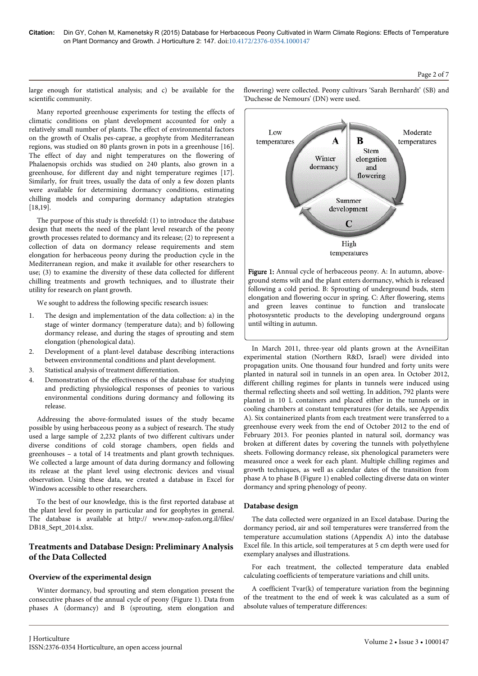Low

temperatures

large enough for statistical analysis; and c) be available for the scientific community.

Many reported greenhouse experiments for testing the effects of climatic conditions on plant development accounted for only a relatively small number of plants. The effect of environmental factors on the growth of Oxalis pes-caprae, a geophyte from Mediterranean regions, was studied on 80 plants grown in pots in a greenhouse [16]. The effect of day and night temperatures on the flowering of Phalaenopsis orchids was studied on 240 plants, also grown in a greenhouse, for different day and night temperature regimes [17]. Similarly, for fruit trees, usually the data of only a few dozen plants were available for determining dormancy conditions, estimating chilling models and comparing dormancy adaptation strategies [18,19].

The purpose of this study is threefold: (1) to introduce the database design that meets the need of the plant level research of the peony growth processes related to dormancy and its release; (2) to represent a collection of data on dormancy release requirements and stem elongation for herbaceous peony during the production cycle in the Mediterranean region, and make it available for other researchers to use; (3) to examine the diversity of these data collected for different chilling treatments and growth techniques, and to illustrate their utility for research on plant growth.

We sought to address the following specific research issues:

- 1. The design and implementation of the data collection: a) in the stage of winter dormancy (temperature data); and b) following dormancy release, and during the stages of sprouting and stem elongation (phenological data).
- 2. Development of a plant-level database describing interactions between environmental conditions and plant development.
- 3. Statistical analysis of treatment differentiation.
- 4. Demonstration of the effectiveness of the database for studying and predicting physiological responses of peonies to various environmental conditions during dormancy and following its release.

Addressing the above-formulated issues of the study became possible by using herbaceous peony as a subject of research. The study used a large sample of 2,232 plants of two different cultivars under diverse conditions of cold storage chambers, open fields and greenhouses – a total of 14 treatments and plant growth techniques. We collected a large amount of data during dormancy and following its release at the plant level using electronic devices and visual observation. Using these data, we created a database in Excel for Windows accessible to other researchers.

To the best of our knowledge, this is the first reported database at the plant level for peony in particular and for geophytes in general. The database is available at http:// www.mop-zafon.org.il/files/ DB18\_Sept\_2014.xlsx.

## **Treatments and Database Design: Preliminary Analysis of the Data Collected**

## **Overview of the experimental design**

Winter dormancy, bud sprouting and stem elongation present the consecutive phases of the annual cycle of peony (Figure 1). Data from phases A (dormancy) and B (sprouting, stem elongation and

flowering) were collected. Peony cultivars 'Sarah Bernhardt' (SB) and 'Duchesse de Nemours' (DN) were used.

A

ground stems wilt and the plant enters dormancy, which is released following a cold period. B: Sprouting of underground buds, stem elongation and flowering occur in spring. C: After flowering, stems and green leaves continue to function and translocate photosysntetic products to the developing underground organs until wilting in autumn.

In March 2011, three-year old plants grown at the AvneiEitan experimental station (Northern R&D, Israel) were divided into propagation units. One thousand four hundred and forty units were planted in natural soil in tunnels in an open area. In October 2012, different chilling regimes for plants in tunnels were induced using thermal reflecting sheets and soil wetting. In addition, 792 plants were planted in 10 L containers and placed either in the tunnels or in cooling chambers at constant temperatures (for details, see Appendix A). Six containerized plants from each treatment were transferred to a greenhouse every week from the end of October 2012 to the end of February 2013. For peonies planted in natural soil, dormancy was broken at different dates by covering the tunnels with polyethylene sheets. Following dormancy release, six phenological parameters were measured once a week for each plant. Multiple chilling regimes and growth techniques, as well as calendar dates of the transition from phase A to phase B (Figure 1) enabled collecting diverse data on winter dormancy and spring phenology of peony.

## **Database design**

The data collected were organized in an Excel database. During the dormancy period, air and soil temperatures were transferred from the temperature accumulation stations (Appendix A) into the database Excel file. In this article, soil temperatures at 5 cm depth were used for exemplary analyses and illustrations.

For each treatment, the collected temperature data enabled calculating coefficients of temperature variations and chill units.

A coefficient Tvar(k) of temperature variation from the beginning of the treatment to the end of week k was calculated as a sum of absolute values of temperature differences:



B

Stem

Moderate

temperatures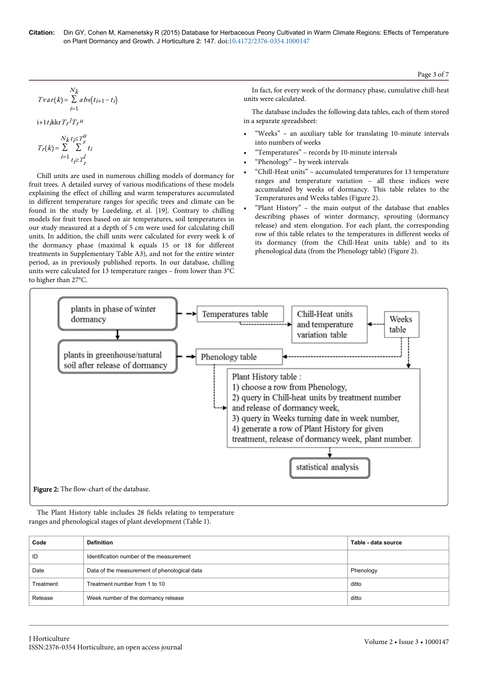#### Page 3 of 7

$$
N_k
$$
  
\n
$$
Tvar(k) = \sum_{i=1}^{N_k} abs(t_{i+1} - t_i)
$$
  
\n
$$
i + 1t_{i}kkrT_{r}T_{r}u
$$
  
\n
$$
N_{k}t_{j} \leq T_{r}^{u}
$$

$$
T_r(k) = \sum_{i=1}^{N_k} \sum_{t \ge T}^{K+T} t_i
$$

Chill units are used in numerous chilling models of dormancy for fruit trees. A detailed survey of various modifications of these models explaining the effect of chilling and warm temperatures accumulated in different temperature ranges for specific trees and climate can be found in the study by Luedeling, et al. [19]. Contrary to chilling models for fruit trees based on air temperatures, soil temperatures in our study measured at a depth of 5 cm were used for calculating chill units. In addition, the chill units were calculated for every week k of the dormancy phase (maximal k equals 15 or 18 for different treatments in Supplementary Table A3), and not for the entire winter period, as in previously published reports. In our database, chilling units were calculated for 13 temperature ranges – from lower than 3°C to higher than 27°C.

In fact, for every week of the dormancy phase, cumulative chill-heat units were calculated.

i+1t<sub>i</sub>kkr $T_r$ <sup>1</sup> $T_r$ <sup>u</sup> and the set of the set of the set of the set of the set of the set of the set of the set of the set of the set of the set of the set of the set of the set of the set of the set of the set of the s  $l_T$ u in a separate spreadsheet: The database includes the following data tables, each of them stored in a separate spreadsheet:

- "Weeks" an auxiliary table for translating 10-minute intervals into numbers of weeks
- "Temperatures" records by 10-minute intervals
- "Phenology" by week intervals
- "Chill-Heat units" accumulated temperatures for 13 temperature ranges and temperature variation – all these indices were accumulated by weeks of dormancy. This table relates to the Temperatures and Weeks tables (Figure 2).
- "Plant History" the main output of the database that enables describing phases of winter dormancy, sprouting (dormancy release) and stem elongation. For each plant, the corresponding row of this table relates to the temperatures in different weeks of its dormancy (from the Chill-Heat units table) and to its phenological data (from the Phenology table) (Figure 2).



The Plant History table includes 28 fields relating to temperature ranges and phenological stages of plant development (Table 1).

| Code      | <b>Definition</b>                            | Table - data source |
|-----------|----------------------------------------------|---------------------|
| ID        | Identification number of the measurement     |                     |
| Date      | Data of the measurement of phenological data | Phenology           |
| Treatment | Treatment number from 1 to 10                | ditto               |
| Release   | Week number of the dormancy release          | ditto               |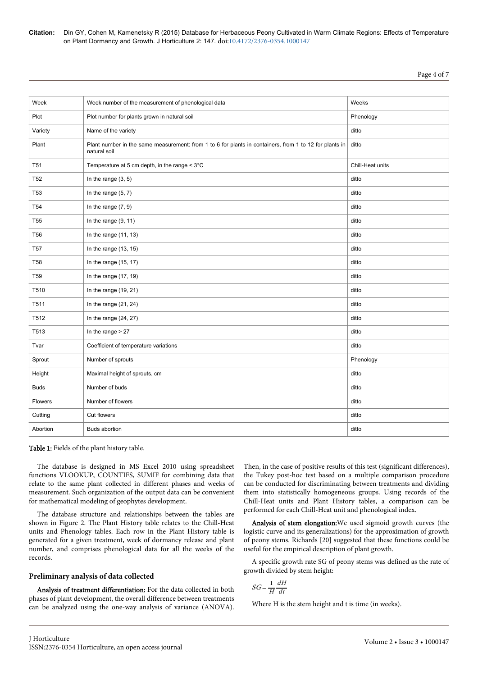**Citation:** Din GY, Cohen M, Kamenetsky R (2015) Database for Herbaceous Peony Cultivated in Warm Climate Regions: Effects of Temperature on Plant Dormancy and Growth. J Horticulture 2: 147. doi:10.4172/2376-0354.1000147

| Week            | Week number of the measurement of phenological data                                                                    | Weeks            |
|-----------------|------------------------------------------------------------------------------------------------------------------------|------------------|
| Plot            | Plot number for plants grown in natural soil                                                                           | Phenology        |
| Variety         | Name of the variety                                                                                                    | ditto            |
| Plant           | Plant number in the same measurement: from 1 to 6 for plants in containers, from 1 to 12 for plants in<br>natural soil | ditto            |
| T <sub>51</sub> | Temperature at 5 cm depth, in the range $<$ 3 $^{\circ}$ C                                                             | Chill-Heat units |
| <b>T52</b>      | In the range $(3, 5)$                                                                                                  | ditto            |
| <b>T53</b>      | In the range $(5, 7)$                                                                                                  | ditto            |
| T <sub>54</sub> | In the range $(7, 9)$                                                                                                  | ditto            |
| T <sub>55</sub> | In the range $(9, 11)$                                                                                                 | ditto            |
| <b>T56</b>      | In the range $(11, 13)$                                                                                                | ditto            |
| <b>T57</b>      | In the range $(13, 15)$                                                                                                | ditto            |
| <b>T58</b>      | In the range $(15, 17)$                                                                                                | ditto            |
| T <sub>59</sub> | In the range $(17, 19)$                                                                                                | ditto            |
| T510            | In the range $(19, 21)$                                                                                                | ditto            |
| T511            | In the range $(21, 24)$                                                                                                | ditto            |
| T512            | In the range $(24, 27)$                                                                                                | ditto            |
| T513            | In the range $> 27$                                                                                                    | ditto            |
| Tvar            | Coefficient of temperature variations                                                                                  | ditto            |
| Sprout          | Number of sprouts                                                                                                      | Phenology        |
| Height          | Maximal height of sprouts, cm                                                                                          | ditto            |
| <b>Buds</b>     | Number of buds                                                                                                         | ditto            |
| Flowers         | Number of flowers                                                                                                      | ditto            |
| Cutting         | Cut flowers                                                                                                            | ditto            |
| Abortion        | <b>Buds abortion</b>                                                                                                   | ditto            |

Table 1: Fields of the plant history table.

The database is designed in MS Excel 2010 using spreadsheet functions VLOOKUP, COUNTIFS, SUMIF for combining data that relate to the same plant collected in different phases and weeks of measurement. Such organization of the output data can be convenient for mathematical modeling of geophytes development.

The database structure and relationships between the tables are shown in Figure 2. The Plant History table relates to the Chill-Heat units and Phenology tables. Each row in the Plant History table is generated for a given treatment, week of dormancy release and plant number, and comprises phenological data for all the weeks of the records.

#### **Preliminary analysis of data collected**

Analysis of treatment differentiation: For the data collected in both phases of plant development, the overall difference between treatments can be analyzed using the one-way analysis of variance (ANOVA). Then, in the case of positive results of this test (significant differences), the Tukey post-hoc test based on a multiple comparison procedure can be conducted for discriminating between treatments and dividing them into statistically homogeneous groups. Using records of the Chill-Heat units and Plant History tables, a comparison can be performed for each Chill-Heat unit and phenological index.

Analysis of stem elongation:We used sigmoid growth curves (the logistic curve and its generalizations) for the approximation of growth of peony stems. Richards [20] suggested that these functions could be useful for the empirical description of plant growth.

A specific growth rate SG of peony stems was defined as the rate of growth divided by stem height:

$$
SG = \frac{1}{H} \frac{dH}{dt}
$$

Where H is the stem height and t is time (in weeks).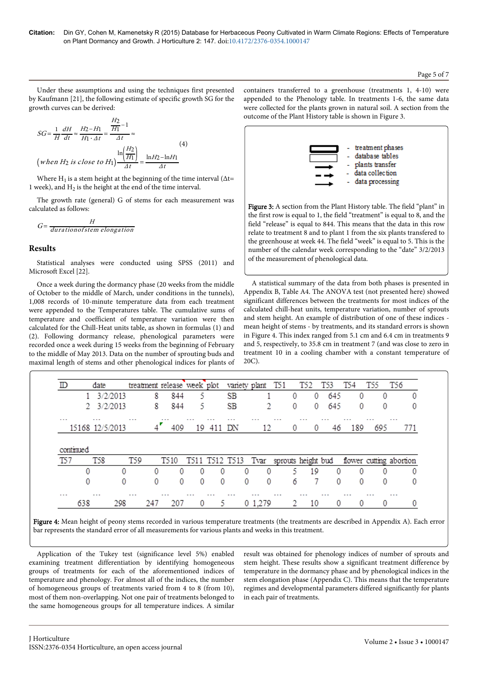Page 5 of 7

Under these assumptions and using the techniques first presented by Kaufmann [21], the following estimate of specific growth SG for the growth curves can be derived:

$$
SG = \frac{1}{H} \frac{dH}{dt} \approx \frac{H_2 - H_1}{H_1 \cdot \Delta t} = \frac{\frac{H_2}{H_1} - 1}{\Delta t} \approx
$$
\n
$$
\left( when \ H_2 \text{ is close to } H_1 \right) \frac{\ln \left( \frac{H_2}{H_1} \right)}{\Delta t} = \frac{\ln H_2 - \ln H_1}{\Delta t}
$$
\n(4)

Where  $H_1$  is a stem height at the beginning of the time interval ( $\Delta t=$ 1 week), and  $H_2$  is the height at the end of the time interval.

The growth rate (general) G of stems for each measurement was calculated as follows:

$$
G = \frac{H}{duration of stem elongation}
$$

### **Results**

Statistical analyses were conducted using SPSS (2011) and Microsoft Excel [22].

Once a week during the dormancy phase (20 weeks from the middle of October to the middle of March, under conditions in the tunnels), 1,008 records of 10-minute temperature data from each treatment were appended to the Temperatures table. The cumulative sums of temperature and coefficient of temperature variation were then calculated for the Chill-Heat units table, as shown in formulas (1) and (2). Following dormancy release, phenological parameters were recorded once a week during 15 weeks from the beginning of February to the middle of May 2013. Data on the number of sprouting buds and maximal length of stems and other phenological indices for plants of containers transferred to a greenhouse (treatments 1, 4-10) were appended to the Phenology table. In treatments 1-6, the same data were collected for the plants grown in natural soil. A section from the outcome of the Plant History table is shown in Figure 3.



Figure 3: A section from the Plant History table. The field "plant" in the first row is equal to 1, the field "treatment" is equal to 8, and the field "release" is equal to 844. This means that the data in this row relate to treatment 8 and to plant 1 from the six plants transfered to the greenhouse at week 44. The field "week" is equal to 5. This is the number of the calendar week corresponding to the "date" 3/2/2013 of the measurement of phenological data.

A statistical summary of the data from both phases is presented in Appendix B, Table A4. The ANOVA test (not presented here) showed significant differences between the treatments for most indices of the calculated chill-heat units, temperature variation, number of sprouts and stem height. An example of distribution of one of these indices mean height of stems - by treatments, and its standard errors is shown in Figure 4. This index ranged from 5.1 cm and 6.4 cm in treatments 9 and 5, respectively, to 35.8 cm in treatment 7 (and was close to zero in treatment 10 in a cooling chamber with a constant temperature of 20C).

|                                          | date                                    |            |                      |     | treatment release week plot |                            |     | variety plant                          |                      | T51 | T52      |    | T53 | T54             | TS5                     | T56      |     |
|------------------------------------------|-----------------------------------------|------------|----------------------|-----|-----------------------------|----------------------------|-----|----------------------------------------|----------------------|-----|----------|----|-----|-----------------|-------------------------|----------|-----|
|                                          |                                         | 3/2/2013   |                      | 8   | 844                         | 5                          |     | SB                                     |                      |     | 0        | 0  | 645 | 0               |                         | 0        |     |
|                                          |                                         | 2 3/2/2013 |                      | 8   | 844                         | 5                          |     | SB                                     | C.                   |     | 0        | 0  | 645 | 0               |                         | 0        |     |
| $\sim$ $\sim$ $\sim$                     | $\sim$ $\sim$ $\sim$<br>15168 12/5/2013 |            | $\sim$ $\sim$ $\sim$ | , г | 409                         | $\sim$ $\sim$ $\sim$<br>19 | 411 | DΝ                                     | .<br>12              | .   | $\cdots$ |    | 46  | $\cdots$<br>189 | .<br>695                | $\cdots$ | 771 |
|                                          |                                         |            |                      |     |                             |                            |     |                                        |                      |     |          |    |     |                 |                         |          |     |
|                                          | <b>T58</b>                              |            | <b>T59</b>           |     | T510                        |                            |     | T511 T512 T513 Tvar sprouts height bud |                      |     |          |    |     |                 | flower cutting abortion |          |     |
|                                          | 0                                       | 0          |                      | 0   | 0                           | 0                          | 0   | 0                                      | 0                    |     | 5        | 19 | 0   | 0               |                         | 0        | 0   |
|                                          | 0                                       | 0          |                      | 0   | 0                           | 0                          | 0   | 0                                      | 0                    |     | 6        |    | 0   | 0               |                         | 0        | o   |
| continued<br>T57<br>$\sim$ $\sim$ $\sim$ | $\cdots$                                |            | $\cdots$             |     | $\sim$ $\sim$ $\sim$        | $\sim$ $\sim$ $\sim$       | .   | .                                      | $\sim$ $\sim$ $\sim$ | .   | $\cdots$ |    |     | .               | $\sim$ $\sim$ $\sim$    | $\cdots$ |     |

Figure 4: Mean height of peony stems recorded in various temperature treatments (the treatments are described in Appendix A). Each error bar represents the standard error of all measurements for various plants and weeks in this treatment.

Application of the Tukey test (significance level 5%) enabled examining treatment differentiation by identifying homogeneous groups of treatments for each of the aforementioned indices of temperature and phenology. For almost all of the indices, the number of homogeneous groups of treatments varied from 4 to 8 (from 10), most of them non-overlapping. Not one pair of treatments belonged to the same homogeneous groups for all temperature indices. A similar

result was obtained for phenology indices of number of sprouts and stem height. These results show a significant treatment difference by temperature in the dormancy phase and by phenological indices in the stem elongation phase (Appendix C). This means that the temperature regimes and developmental parameters differed significantly for plants in each pair of treatments.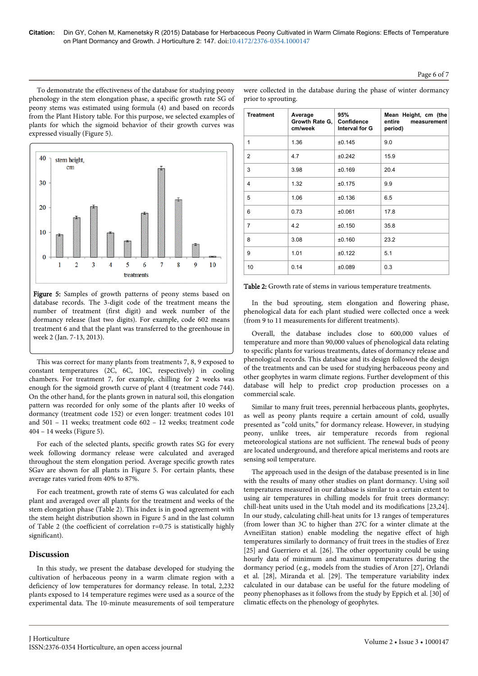## Page 6 of 7

To demonstrate the effectiveness of the database for studying peony phenology in the stem elongation phase, a specific growth rate SG of peony stems was estimated using formula (4) and based on records from the Plant History table. For this purpose, we selected examples of plants for which the sigmoid behavior of their growth curves was expressed visually (Figure 5).

40 stem height.  $cm$  $30$ 20  $10$  $\overline{7}$  $\ddot{Q}$  $\overline{3}$  $\overline{A}$ 8 10  $\mathfrak{D}$ 5 6 treatments

Figure 5: Samples of growth patterns of peony stems based on database records. The 3-digit code of the treatment means the number of treatment (first digit) and week number of the dormancy release (last two digits). For example, code 602 means treatment 6 and that the plant was transferred to the greenhouse in week 2 (Jan. 7-13, 2013).

This was correct for many plants from treatments 7, 8, 9 exposed to constant temperatures (2C, 6C, 10C, respectively) in cooling chambers. For treatment 7, for example, chilling for 2 weeks was enough for the sigmoid growth curve of plant 4 (treatment code 744). On the other hand, for the plants grown in natural soil, this elongation pattern was recorded for only some of the plants after 10 weeks of dormancy (treatment code 152) or even longer: treatment codes 101 and 501 – 11 weeks; treatment code 602 – 12 weeks; treatment code 404 – 14 weeks (Figure 5).

For each of the selected plants, specific growth rates SG for every week following dormancy release were calculated and averaged throughout the stem elongation period. Average specific growth rates SGav are shown for all plants in Figure 5. For certain plants, these average rates varied from 40% to 87%.

For each treatment, growth rate of stems G was calculated for each plant and averaged over all plants for the treatment and weeks of the stem elongation phase (Table 2). This index is in good agreement with the stem height distribution shown in Figure 5 and in the last column of Table 2 (the coefficient of correlation r=0.75 is statistically highly significant).

## **Discussion**

In this study, we present the database developed for studying the cultivation of herbaceous peony in a warm climate region with a deficiency of low temperatures for dormancy release. In total, 2,232 plants exposed to 14 temperature regimes were used as a source of the experimental data. The 10-minute measurements of soil temperature

| <b>Treatment</b> | Average<br>Growth Rate G,<br>cm/week | 95%<br>Confidence<br>Interval for G | Mean Height, cm (the<br>entire<br>measurement<br>period) |
|------------------|--------------------------------------|-------------------------------------|----------------------------------------------------------|
| 1                | 1.36                                 | ±0.145                              | 9.0                                                      |
| $\overline{2}$   | 4.7                                  | ±0.242                              | 15.9                                                     |
| 3                | 3.98                                 | ±0.169                              | 20.4                                                     |
| $\overline{4}$   | 1.32                                 | ±0.175                              | 9.9                                                      |
| 5                | 1.06                                 | ±0.136                              | 6.5                                                      |
| 6                | 0.73                                 | ±0.061                              | 17.8                                                     |
| 7                | 4.2                                  | ±0.150                              | 35.8                                                     |
| 8                | 3.08                                 | ±0.160                              | 23.2                                                     |
| 9                | 1.01                                 | ±0.122                              | 5.1                                                      |
| 10               | 0.14                                 | ±0.089                              | 0.3                                                      |

were collected in the database during the phase of winter dormancy prior to sprouting.

In the bud sprouting, stem elongation and flowering phase, phenological data for each plant studied were collected once a week (from 9 to 11 measurements for different treatments).

Overall, the database includes close to 600,000 values of temperature and more than 90,000 values of phenological data relating to specific plants for various treatments, dates of dormancy release and phenological records. This database and its design followed the design of the treatments and can be used for studying herbaceous peony and other geophytes in warm climate regions. Further development of this database will help to predict crop production processes on a commercial scale.

Similar to many fruit trees, perennial herbaceous plants, geophytes, as well as peony plants require a certain amount of cold, usually presented as "cold units," for dormancy release. However, in studying peony, unlike trees, air temperature records from regional meteorological stations are not sufficient. The renewal buds of peony are located underground, and therefore apical meristems and roots are sensing soil temperature.

The approach used in the design of the database presented is in line with the results of many other studies on plant dormancy. Using soil temperatures measured in our database is similar to a certain extent to using air temperatures in chilling models for fruit trees dormancy: chill-heat units used in the Utah model and its modifications [23,24]. In our study, calculating chill-heat units for 13 ranges of temperatures (from lower than 3C to higher than 27C for a winter climate at the AvneiEitan station) enable modeling the negative effect of high temperatures similarly to dormancy of fruit trees in the studies of Erez [25] and Guerriero et al. [26]. The other opportunity could be using hourly data of minimum and maximum temperatures during the dormancy period (e.g., models from the studies of Aron [27], Orlandi et al. [28], Miranda et al. [29]. The temperature variability index calculated in our database can be useful for the future modeling of peony phenophases as it follows from the study by Eppich et al. [30] of climatic effects on the phenology of geophytes.